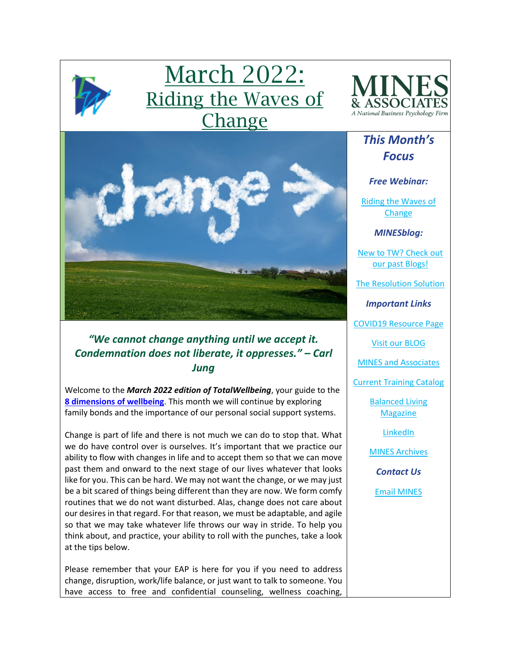

# March 2022: Riding the Waves of Change



*This Month's* 



# *"We cannot change anything until we accept it. Condemnation does not liberate, it oppresses." – Carl Jung*

Welcome to the *March 2022 edition of TotalWellbeing*, your guide to the **[8 dimensions of wellbeing](https://www.youtube.com/watch?v=tDzQdRvLAfM)**. This month we will continue by exploring family bonds and the importance of our personal social support systems.

Change is part of life and there is not much we can do to stop that. What we do have control over is ourselves. It's important that we practice our ability to flow with changes in life and to accept them so that we can move past them and onward to the next stage of our lives whatever that looks like for you. This can be hard. We may not want the change, or we may just be a bit scared of things being different than they are now. We form comfy routines that we do not want disturbed. Alas, change does not care about our desires in that regard. For that reason, we must be adaptable, and agile so that we may take whatever life throws our way in stride. To help you think about, and practice, your ability to roll with the punches, take a look at the tips below.

Please remember that your EAP is here for you if you need to address change, disruption, work/life balance, or just want to talk to someone. You have access to free and confidential counseling, wellness coaching,

*Focus Free Webinar:* [Riding the Waves of](https://mines.personaladvantage.com/section.jsp?module=section_100)  **[Change](https://mines.personaladvantage.com/section.jsp?module=section_100)** *MINESblog:* [New to TW? Check out](https://minesblog.wordpress.com/)  [our past Blogs!](https://minesblog.wordpress.com/) [The Resolution Solution](https://minesblog.wordpress.com/2022/01/20/the-resolution-solution/) *Important Links* [COVID19 Resource Page](http://www.minesandassociates.com/Covid19_resources.html) [Visit our BLOG](http://minesblog.wordpress.com/) [MINES and Associates](http://www.minesandassociates.com/) [Current Training Catalog](http://www.minesandassociates.com/Training_Main.html) [Balanced Living](http://www.minesandassociates.com/newsletters.html)  [Magazine](http://www.minesandassociates.com/newsletters.html) [LinkedIn](https://www.linkedin.com/company/mines-and-associates) [MINES Archives](http://www.minesandassociates.com/newsletters.html) *Contact Us* [Email MINES](mailto:communications@MINESandAssociates.com)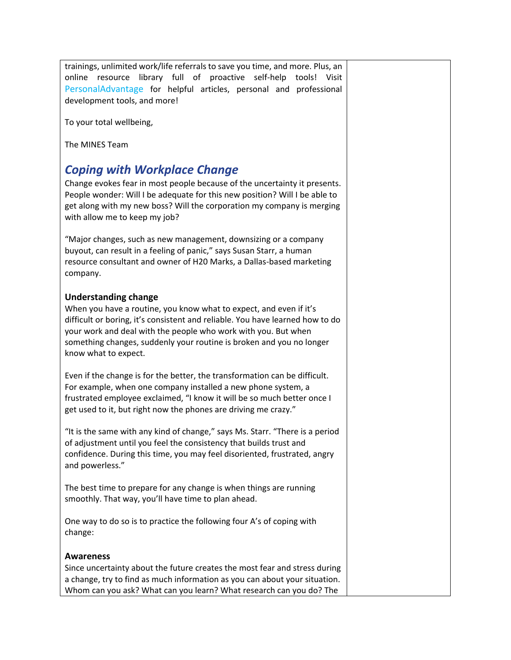trainings, unlimited work/life referrals to save you time, and more. Plus, an online resource library full of proactive self-help tools! Visit [PersonalAdvantage](https://mines.personaladvantage.com/) for helpful articles, personal and professional development tools, and more!

To your total wellbeing,

The MINES Team

# *Coping with Workplace Change*

Change evokes fear in most people because of the uncertainty it presents. People wonder: Will I be adequate for this new position? Will I be able to get along with my new boss? Will the corporation my company is merging with allow me to keep my job?

"Major changes, such as new management, downsizing or a company buyout, can result in a feeling of panic," says Susan Starr, a human resource consultant and owner of H20 Marks, a Dallas-based marketing company.

#### **Understanding change**

When you have a routine, you know what to expect, and even if it's difficult or boring, it's consistent and reliable. You have learned how to do your work and deal with the people who work with you. But when something changes, suddenly your routine is broken and you no longer know what to expect.

Even if the change is for the better, the transformation can be difficult. For example, when one company installed a new phone system, a frustrated employee exclaimed, "I know it will be so much better once I get used to it, but right now the phones are driving me crazy."

"It is the same with any kind of change," says Ms. Starr. "There is a period of adjustment until you feel the consistency that builds trust and confidence. During this time, you may feel disoriented, frustrated, angry and powerless."

The best time to prepare for any change is when things are running smoothly. That way, you'll have time to plan ahead.

One way to do so is to practice the following four A's of coping with change:

#### **Awareness**

Since uncertainty about the future creates the most fear and stress during a change, try to find as much information as you can about your situation. Whom can you ask? What can you learn? What research can you do? The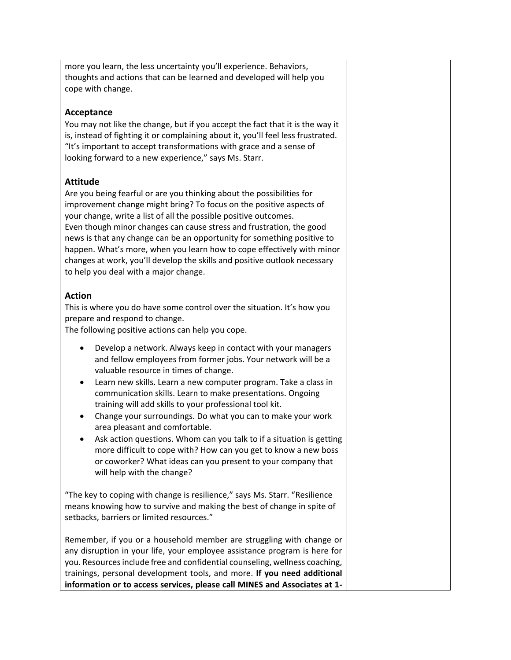more you learn, the less uncertainty you'll experience. Behaviors, thoughts and actions that can be learned and developed will help you cope with change.

### **Acceptance**

You may not like the change, but if you accept the fact that it is the way it is, instead of fighting it or complaining about it, you'll feel less frustrated. "It's important to accept transformations with grace and a sense of looking forward to a new experience," says Ms. Starr.

#### **Attitude**

Are you being fearful or are you thinking about the possibilities for improvement change might bring? To focus on the positive aspects of your change, write a list of all the possible positive outcomes. Even though minor changes can cause stress and frustration, the good news is that any change can be an opportunity for something positive to happen. What's more, when you learn how to cope effectively with minor changes at work, you'll develop the skills and positive outlook necessary to help you deal with a major change.

#### **Action**

This is where you do have some control over the situation. It's how you prepare and respond to change.

The following positive actions can help you cope.

- Develop a network. Always keep in contact with your managers and fellow employees from former jobs. Your network will be a valuable resource in times of change.
- Learn new skills. Learn a new computer program. Take a class in communication skills. Learn to make presentations. Ongoing training will add skills to your professional tool kit.
- Change your surroundings. Do what you can to make your work area pleasant and comfortable.
- Ask action questions. Whom can you talk to if a situation is getting more difficult to cope with? How can you get to know a new boss or coworker? What ideas can you present to your company that will help with the change?

"The key to coping with change is resilience," says Ms. Starr. "Resilience means knowing how to survive and making the best of change in spite of setbacks, barriers or limited resources."

Remember, if you or a household member are struggling with change or any disruption in your life, your employee assistance program is here for you. Resources include free and confidential counseling, wellness coaching, trainings, personal development tools, and more. **If you need additional information or to access services, please call MINES and Associates at 1-**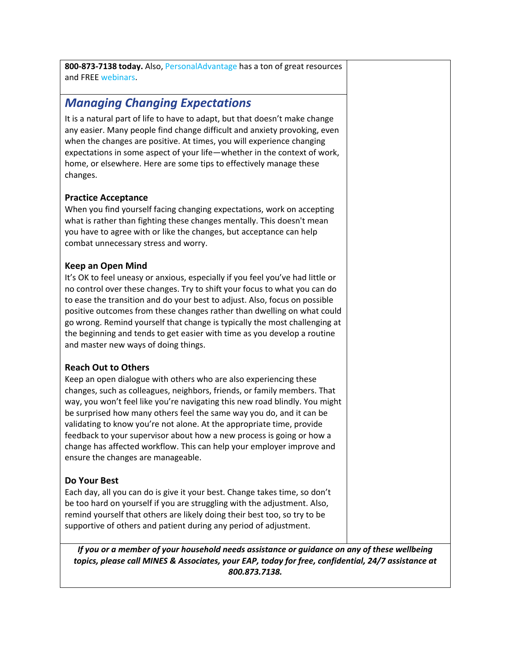**800-873-7138 today.** Also, [PersonalAdvantage](https://mines.personaladvantage.com/) has a ton of great resources and FREE [webinars.](https://mines.personaladvantage.com/section.jsp?module=section_100)

# *Managing Changing Expectations*

It is a natural part of life to have to adapt, but that doesn't make change any easier. Many people find change difficult and anxiety provoking, even when the changes are positive. At times, you will experience changing expectations in some aspect of your life—whether in the context of work, home, or elsewhere. Here are some tips to effectively manage these changes.

## **Practice Acceptance**

When you find yourself facing changing expectations, work on accepting what is rather than fighting these changes mentally. This doesn't mean you have to agree with or like the changes, but acceptance can help combat unnecessary stress and worry.

#### **Keep an Open Mind**

It's OK to feel uneasy or anxious, especially if you feel you've had little or no control over these changes. Try to shift your focus to what you can do to ease the transition and do your best to adjust. Also, focus on possible positive outcomes from these changes rather than dwelling on what could go wrong. Remind yourself that change is typically the most challenging at the beginning and tends to get easier with time as you develop a routine and master new ways of doing things.

## **Reach Out to Others**

Keep an open dialogue with others who are also experiencing these changes, such as colleagues, neighbors, friends, or family members. That way, you won't feel like you're navigating this new road blindly. You might be surprised how many others feel the same way you do, and it can be validating to know you're not alone. At the appropriate time, provide feedback to your supervisor about how a new process is going or how a change has affected workflow. This can help your employer improve and ensure the changes are manageable.

#### **Do Your Best**

Each day, all you can do is give it your best. Change takes time, so don't be too hard on yourself if you are struggling with the adjustment. Also, remind yourself that others are likely doing their best too, so try to be supportive of others and patient during any period of adjustment.

*If you or a member of your household needs assistance or guidance on any of these wellbeing topics, please call MINES & Associates, your EAP, today for free, confidential, 24/7 assistance at 800.873.7138.*